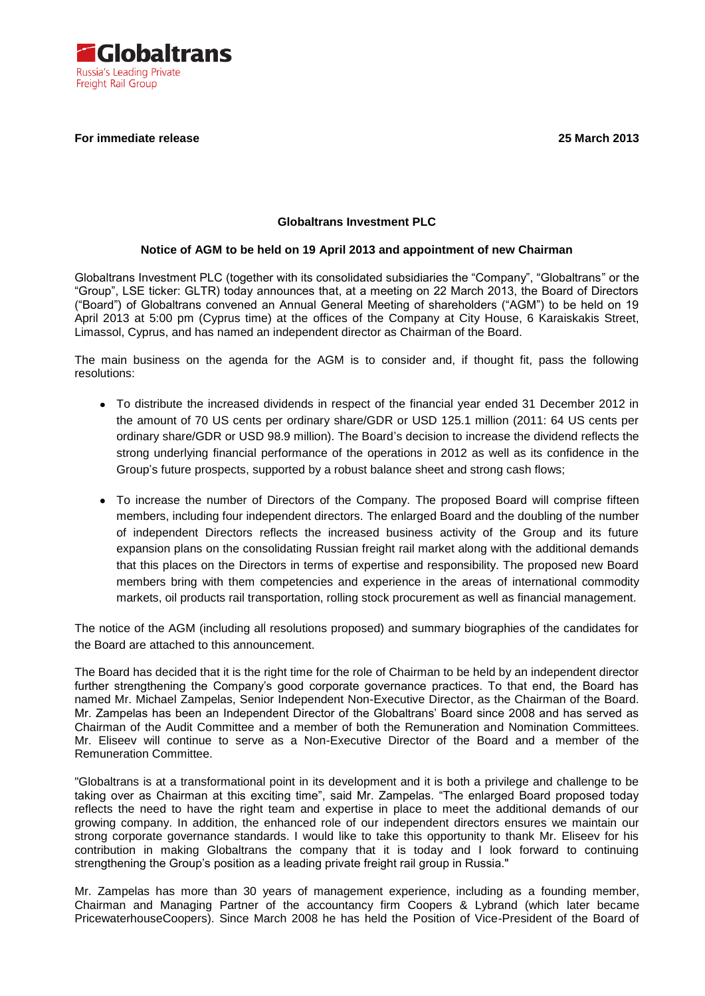

# **For immediate release 25 March 2013**

### **Globaltrans Investment PLC**

#### **Notice of AGM to be held on 19 April 2013 and appointment of new Chairman**

Globaltrans Investment PLC (together with its consolidated subsidiaries the "Company", "Globaltrans" or the "Group", LSE ticker: GLTR) today announces that, at a meeting on 22 March 2013, the Board of Directors ("Board") of Globaltrans convened an Annual General Meeting of shareholders ("AGM") to be held on 19 April 2013 at 5:00 pm (Cyprus time) at the offices of the Company at City House, 6 Karaiskakis Street, Limassol, Cyprus, and has named an independent director as Chairman of the Board.

The main business on the agenda for the AGM is to consider and, if thought fit, pass the following resolutions:

- To distribute the increased dividends in respect of the financial year ended 31 December 2012 in the amount of 70 US cents per ordinary share/GDR or USD 125.1 million (2011: 64 US cents per ordinary share/GDR or USD 98.9 million). The Board's decision to increase the dividend reflects the strong underlying financial performance of the operations in 2012 as well as its confidence in the Group's future prospects, supported by a robust balance sheet and strong cash flows;
- To increase the number of Directors of the Company. The proposed Board will comprise fifteen members, including four independent directors. The enlarged Board and the doubling of the number of independent Directors reflects the increased business activity of the Group and its future expansion plans on the consolidating Russian freight rail market along with the additional demands that this places on the Directors in terms of expertise and responsibility. The proposed new Board members bring with them competencies and experience in the areas of international commodity markets, oil products rail transportation, rolling stock procurement as well as financial management.

The notice of the AGM (including all resolutions proposed) and summary biographies of the candidates for the Board are attached to this announcement.

The Board has decided that it is the right time for the role of Chairman to be held by an independent director further strengthening the Company's good corporate governance practices. To that end, the Board has named Mr. Michael Zampelas, Senior Independent Non-Executive Director, as the Chairman of the Board. Mr. Zampelas has been an Independent Director of the Globaltrans' Board since 2008 and has served as Chairman of the Audit Committee and a member of both the Remuneration and Nomination Committees. Mr. Eliseev will continue to serve as a Non-Executive Director of the Board and a member of the Remuneration Committee.

"Globaltrans is at a transformational point in its development and it is both a privilege and challenge to be taking over as Chairman at this exciting time", said Mr. Zampelas. "The enlarged Board proposed today reflects the need to have the right team and expertise in place to meet the additional demands of our growing company. In addition, the enhanced role of our independent directors ensures we maintain our strong corporate governance standards. I would like to take this opportunity to thank Mr. Eliseev for his contribution in making Globaltrans the company that it is today and I look forward to continuing strengthening the Group's position as a leading private freight rail group in Russia."

Mr. Zampelas has more than 30 years of management experience, including as a founding member, Chairman and Managing Partner of the accountancy firm Coopers & Lybrand (which later became PricewaterhouseCoopers). Since March 2008 he has held the Position of Vice-President of the Board of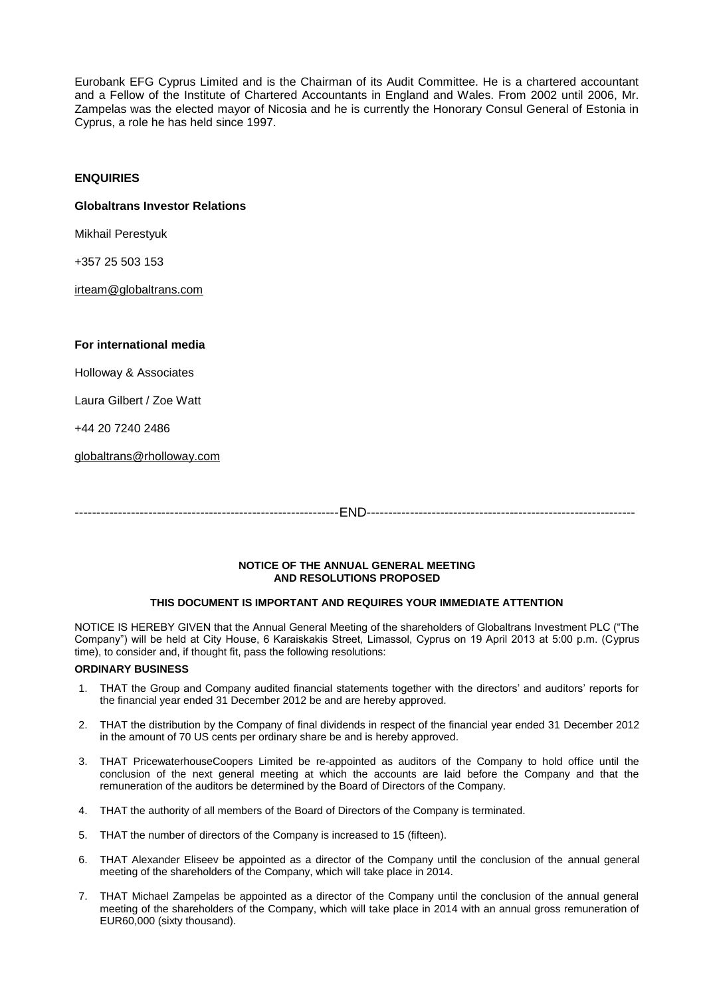Eurobank EFG Cyprus Limited and is the Chairman of its Audit Committee. He is a chartered accountant and a Fellow of the Institute of Chartered Accountants in England and Wales. From 2002 until 2006, Mr. Zampelas was the elected mayor of Nicosia and he is currently the Honorary Consul General of Estonia in Cyprus, a role he has held since 1997.

# **ENQUIRIES**

#### **Globaltrans Investor Relations**

Mikhail Perestyuk

+357 25 503 153

[irteam@globaltrans.com](mailto:irteam@globaltrans.com)

#### **For international media**

Holloway & Associates

Laura Gilbert / Zoe Watt

+44 20 7240 2486

[globaltrans@rholloway.com](mailto:globaltrans@rholloway.com)

-------------------------------------------------------------END--------------------------------------------------------------

#### **NOTICE OF THE ANNUAL GENERAL MEETING AND RESOLUTIONS PROPOSED**

# **THIS DOCUMENT IS IMPORTANT AND REQUIRES YOUR IMMEDIATE ATTENTION**

NOTICE IS HEREBY GIVEN that the Annual General Meeting of the shareholders of Globaltrans Investment PLC ("The Company") will be held at City House, 6 Karaiskakis Street, Limassol, Cyprus on 19 April 2013 at 5:00 p.m. (Cyprus time), to consider and, if thought fit, pass the following resolutions:

#### **ORDINARY BUSINESS**

- 1. THAT the Group and Company audited financial statements together with the directors' and auditors' reports for the financial year ended 31 December 2012 be and are hereby approved.
- 2. THAT the distribution by the Company of final dividends in respect of the financial year ended 31 December 2012 in the amount of 70 US cents per ordinary share be and is hereby approved.
- 3. THAT PricewaterhouseCoopers Limited be re-appointed as auditors of the Company to hold office until the conclusion of the next general meeting at which the accounts are laid before the Company and that the remuneration of the auditors be determined by the Board of Directors of the Company.
- 4. THAT the authority of all members of the Board of Directors of the Company is terminated.
- 5. THAT the number of directors of the Company is increased to 15 (fifteen).
- 6. THAT Alexander Eliseev be appointed as a director of the Company until the conclusion of the annual general meeting of the shareholders of the Company, which will take place in 2014.
- 7. THAT Michael Zampelas be appointed as a director of the Company until the conclusion of the annual general meeting of the shareholders of the Company, which will take place in 2014 with an annual gross remuneration of EUR60,000 (sixty thousand).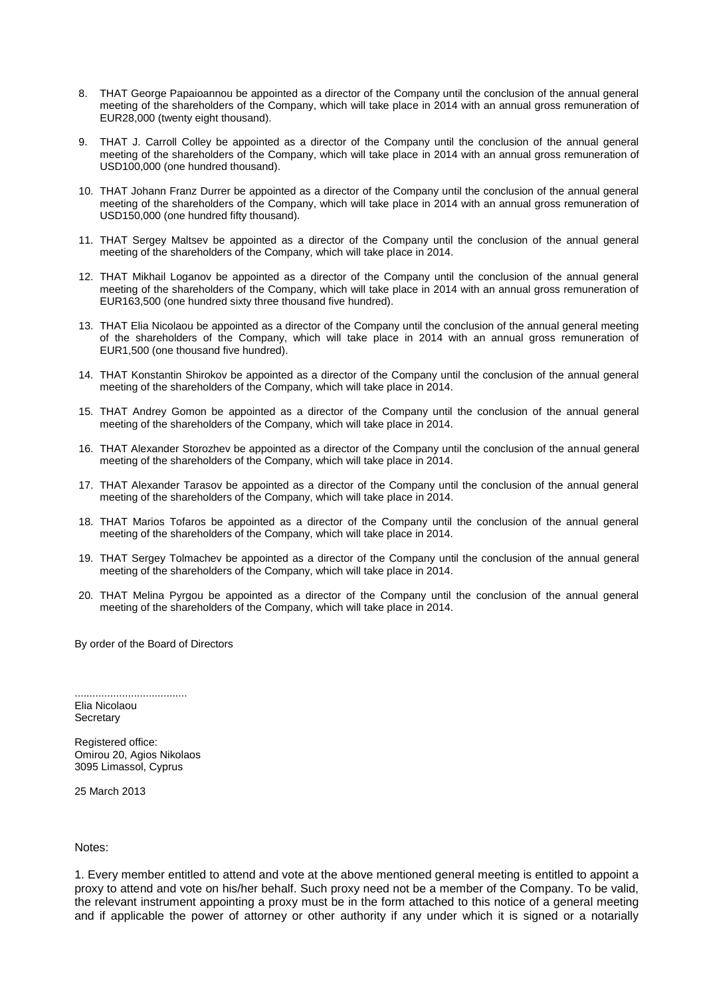- 8. THAT George Papaioannou be appointed as a director of the Company until the conclusion of the annual general meeting of the shareholders of the Company, which will take place in 2014 with an annual gross remuneration of EUR28,000 (twenty eight thousand).
- 9. THAT J. Carroll Colley be appointed as a director of the Company until the conclusion of the annual general meeting of the shareholders of the Company, which will take place in 2014 with an annual gross remuneration of USD100,000 (one hundred thousand).
- 10. THAT Johann Franz Durrer be appointed as a director of the Company until the conclusion of the annual general meeting of the shareholders of the Company, which will take place in 2014 with an annual gross remuneration of USD150,000 (one hundred fifty thousand).
- 11. THAT Sergey Maltsev be appointed as a director of the Company until the conclusion of the annual general meeting of the shareholders of the Company, which will take place in 2014.
- 12. THAT Mikhail Loganov be appointed as a director of the Company until the conclusion of the annual general meeting of the shareholders of the Company, which will take place in 2014 with an annual gross remuneration of EUR163,500 (one hundred sixty three thousand five hundred).
- 13. THAT Elia Nicolaou be appointed as a director of the Company until the conclusion of the annual general meeting of the shareholders of the Company, which will take place in 2014 with an annual gross remuneration of EUR1,500 (one thousand five hundred).
- 14. THAT Konstantin Shirokov be appointed as a director of the Company until the conclusion of the annual general meeting of the shareholders of the Company, which will take place in 2014.
- 15. THAT Andrey Gomon be appointed as a director of the Company until the conclusion of the annual general meeting of the shareholders of the Company, which will take place in 2014.
- 16. THAT Alexander Storozhev be appointed as a director of the Company until the conclusion of the annual general meeting of the shareholders of the Company, which will take place in 2014.
- 17. THAT Alexander Tarasov be appointed as a director of the Company until the conclusion of the annual general meeting of the shareholders of the Company, which will take place in 2014.
- 18. THAT Marios Tofaros be appointed as a director of the Company until the conclusion of the annual general meeting of the shareholders of the Company, which will take place in 2014.
- 19. THAT Sergey Tolmachev be appointed as a director of the Company until the conclusion of the annual general meeting of the shareholders of the Company, which will take place in 2014.
- 20. THAT Melina Pyrgou be appointed as a director of the Company until the conclusion of the annual general meeting of the shareholders of the Company, which will take place in 2014.

By order of the Board of Directors

...................................... Elia Nicolaou **Secretary** 

Registered office: Omirou 20, Agios Nikolaos 3095 Limassol, Cyprus

25 March 2013

#### Notes:

1. Every member entitled to attend and vote at the above mentioned general meeting is entitled to appoint a proxy to attend and vote on his/her behalf. Such proxy need not be a member of the Company. To be valid, the relevant instrument appointing a proxy must be in the form attached to this notice of a general meeting and if applicable the power of attorney or other authority if any under which it is signed or a notarially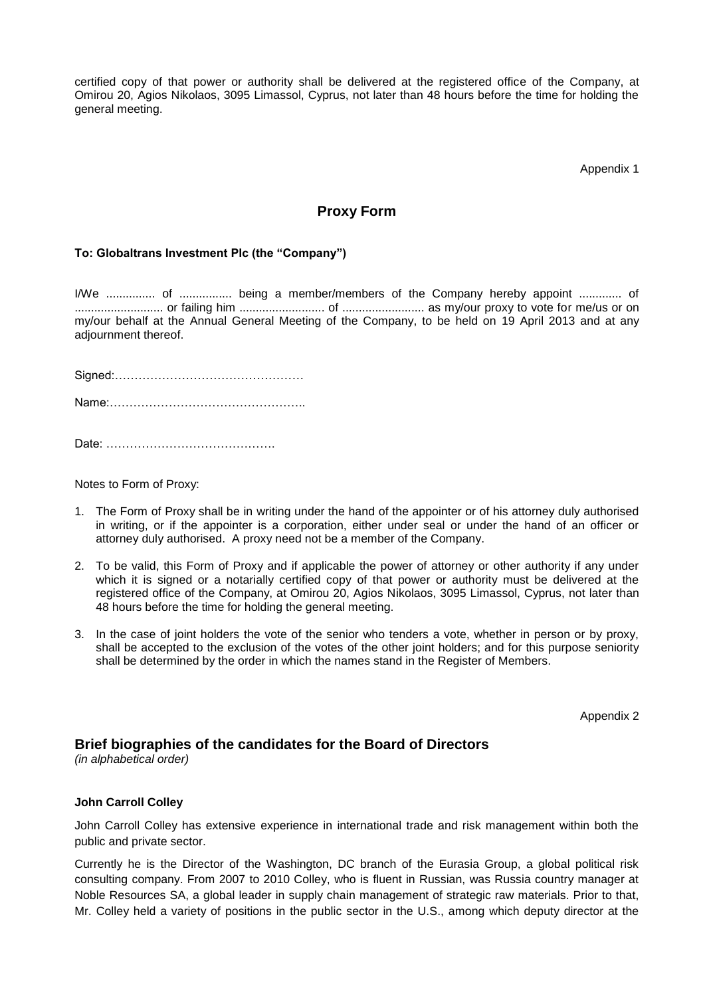certified copy of that power or authority shall be delivered at the registered office of the Company, at Omirou 20, Agios Nikolaos, 3095 Limassol, Cyprus, not later than 48 hours before the time for holding the general meeting.

Appendix 1

# **Proxy Form**

# **To: Globaltrans Investment Plc (the "Company")**

I/We ............... of ................ being a member/members of the Company hereby appoint ............. of ........................... or failing him .......................... of ......................... as my/our proxy to vote for me/us or on my/our behalf at the Annual General Meeting of the Company, to be held on 19 April 2013 and at any adjournment thereof.

Signed:………………………………………… Name:…………………………………………..

Date: …………………………………….

Notes to Form of Proxy:

- 1. The Form of Proxy shall be in writing under the hand of the appointer or of his attorney duly authorised in writing, or if the appointer is a corporation, either under seal or under the hand of an officer or attorney duly authorised. A proxy need not be a member of the Company.
- 2. To be valid, this Form of Proxy and if applicable the power of attorney or other authority if any under which it is signed or a notarially certified copy of that power or authority must be delivered at the registered office of the Company, at Omirou 20, Agios Nikolaos, 3095 Limassol, Cyprus, not later than 48 hours before the time for holding the general meeting.
- 3. In the case of joint holders the vote of the senior who tenders a vote, whether in person or by proxy, shall be accepted to the exclusion of the votes of the other joint holders; and for this purpose seniority shall be determined by the order in which the names stand in the Register of Members.

Appendix 2

# **Brief biographies of the candidates for the Board of Directors**

*(in alphabetical order)*

# **John Carroll Colley**

John Carroll Colley has extensive experience in international trade and risk management within both the public and private sector.

Currently he is the Director of the Washington, DC branch of the Eurasia Group, a global political risk consulting company. From 2007 to 2010 Colley, who is fluent in Russian, was Russia country manager at Noble Resources SA, a global leader in supply chain management of strategic raw materials. Prior to that, Mr. Colley held a variety of positions in the public sector in the U.S., among which deputy director at the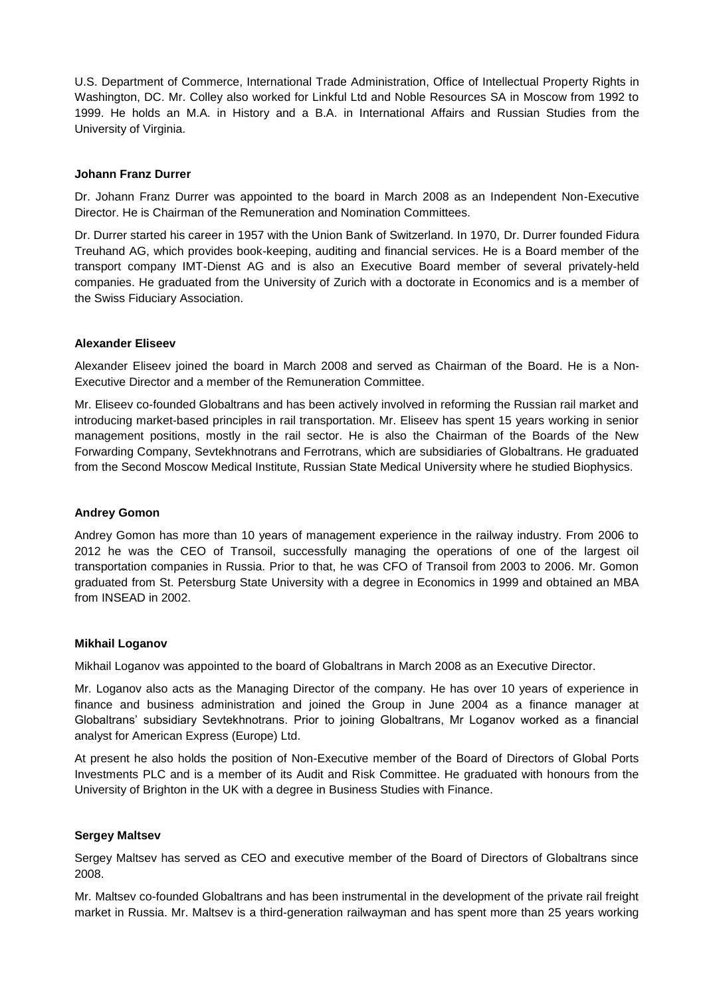U.S. Department of Commerce, International Trade Administration, Office of Intellectual Property Rights in Washington, DC. Mr. Colley also worked for Linkful Ltd and Noble Resources SA in Moscow from 1992 to 1999. He holds an M.A. in History and a B.A. in International Affairs and Russian Studies from the University of Virginia.

### **Johann Franz Durrer**

Dr. Johann Franz Durrer was appointed to the board in March 2008 as an Independent Non-Executive Director. He is Chairman of the Remuneration and Nomination Committees.

Dr. Durrer started his career in 1957 with the Union Bank of Switzerland. In 1970, Dr. Durrer founded Fidura Treuhand AG, which provides book-keeping, auditing and financial services. He is a Board member of the transport company IMT-Dienst AG and is also an Executive Board member of several privately-held companies. He graduated from the University of Zurich with a doctorate in Economics and is a member of the Swiss Fiduciary Association.

# **Alexander Eliseev**

Alexander Eliseev joined the board in March 2008 and served as Chairman of the Board. He is a Non-Executive Director and a member of the Remuneration Committee.

Mr. Eliseev co-founded Globaltrans and has been actively involved in reforming the Russian rail market and introducing market-based principles in rail transportation. Mr. Eliseev has spent 15 years working in senior management positions, mostly in the rail sector. He is also the Chairman of the Boards of the New Forwarding Company, Sevtekhnotrans and Ferrotrans, which are subsidiaries of Globaltrans. He graduated from the Second Moscow Medical Institute, Russian State Medical University where he studied Biophysics.

#### **Andrey Gomon**

Andrey Gomon has more than 10 years of management experience in the railway industry. From 2006 to 2012 he was the CEO of Transoil, successfully managing the operations of one of the largest oil transportation companies in Russia. Prior to that, he was CFO of Transoil from 2003 to 2006. Mr. Gomon graduated from St. Petersburg State University with a degree in Economics in 1999 and obtained an MBA from INSEAD in 2002.

#### **Mikhail Loganov**

Mikhail Loganov was appointed to the board of Globaltrans in March 2008 as an Executive Director.

Mr. Loganov also acts as the Managing Director of the company. He has over 10 years of experience in finance and business administration and joined the Group in June 2004 as a finance manager at Globaltrans' subsidiary Sevtekhnotrans. Prior to joining Globaltrans, Mr Loganov worked as a financial analyst for American Express (Europe) Ltd.

At present he also holds the position of Non-Executive member of the Board of Directors of Global Ports Investments PLC and is a member of its Audit and Risk Committee. He graduated with honours from the University of Brighton in the UK with a degree in Business Studies with Finance.

#### **Sergey Maltsev**

Sergey Maltsev has served as CEO and executive member of the Board of Directors of Globaltrans since 2008.

Mr. Maltsev co-founded Globaltrans and has been instrumental in the development of the private rail freight market in Russia. Mr. Maltsev is a third-generation railwayman and has spent more than 25 years working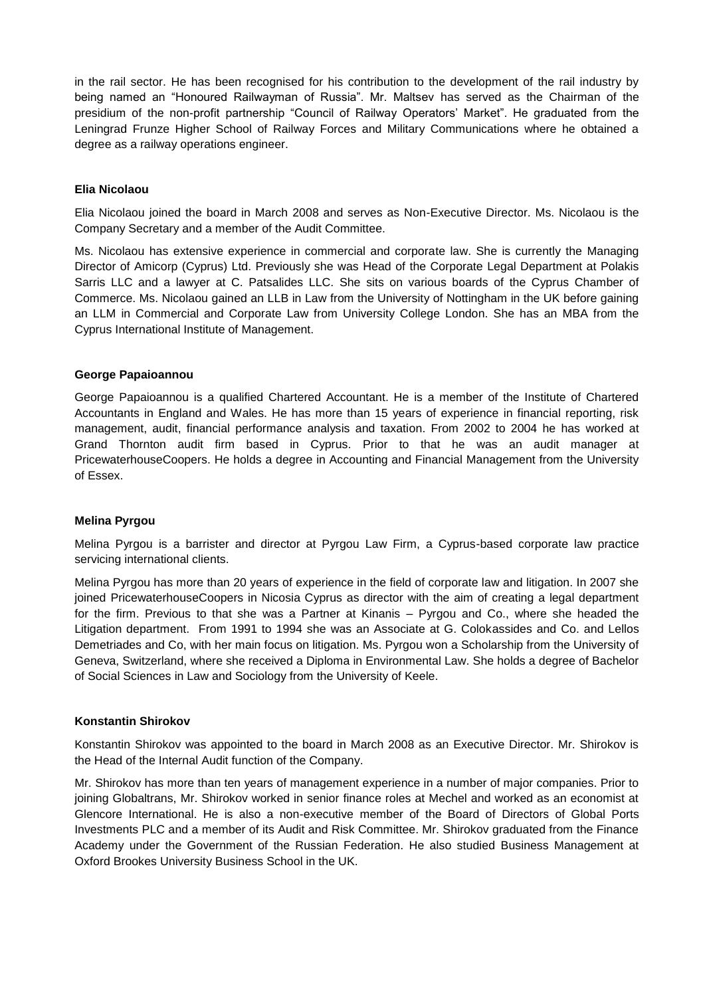in the rail sector. He has been recognised for his contribution to the development of the rail industry by being named an "Honoured Railwayman of Russia". Mr. Maltsev has served as the Chairman of the presidium of the non-profit partnership "Council of Railway Operators' Market". He graduated from the Leningrad Frunze Higher School of Railway Forces and Military Communications where he obtained a degree as a railway operations engineer.

# **Elia Nicolaou**

Elia Nicolaou joined the board in March 2008 and serves as Non-Executive Director. Ms. Nicolaou is the Company Secretary and a member of the Audit Committee.

Ms. Nicolaou has extensive experience in commercial and corporate law. She is currently the Managing Director of Amicorp (Cyprus) Ltd. Previously she was Head of the Corporate Legal Department at Polakis Sarris LLC and a lawyer at C. Patsalides LLC. She sits on various boards of the Cyprus Chamber of Commerce. Ms. Nicolaou gained an LLB in Law from the University of Nottingham in the UK before gaining an LLM in Commercial and Corporate Law from University College London. She has an MBA from the Cyprus International Institute of Management.

# **George Papaioannou**

George Papaioannou is a qualified Chartered Accountant. He is a member of the Institute of Chartered Accountants in England and Wales. He has more than 15 years of experience in financial reporting, risk management, audit, financial performance analysis and taxation. From 2002 to 2004 he has worked at Grand Thornton audit firm based in Cyprus. Prior to that he was an audit manager at PricewaterhouseCoopers. He holds a degree in Accounting and Financial Management from the University of Essex.

#### **Melina Pyrgou**

Melina Pyrgou is a barrister and director at Pyrgou Law Firm, a Cyprus-based corporate law practice servicing international clients.

Melina Pyrgou has more than 20 years of experience in the field of corporate law and litigation. In 2007 she joined PricewaterhouseCoopers in Nicosia Cyprus as director with the aim of creating a legal department for the firm. Previous to that she was a Partner at Kinanis – Pyrgou and Co., where she headed the Litigation department. From 1991 to 1994 she was an Associate at G. Colokassides and Co. and Lellos Demetriades and Co, with her main focus on litigation. Ms. Pyrgou won a Scholarship from the University of Geneva, Switzerland, where she received a Diploma in Environmental Law. She holds a degree of Bachelor of Social Sciences in Law and Sociology from the University of Keele.

# **Konstantin Shirokov**

Konstantin Shirokov was appointed to the board in March 2008 as an Executive Director. Mr. Shirokov is the Head of the Internal Audit function of the Company.

Mr. Shirokov has more than ten years of management experience in a number of major companies. Prior to joining Globaltrans, Mr. Shirokov worked in senior finance roles at Mechel and worked as an economist at Glencore International. He is also a non-executive member of the Board of Directors of Global Ports Investments PLC and a member of its Audit and Risk Committee. Mr. Shirokov graduated from the Finance Academy under the Government of the Russian Federation. He also studied Business Management at Oxford Brookes University Business School in the UK.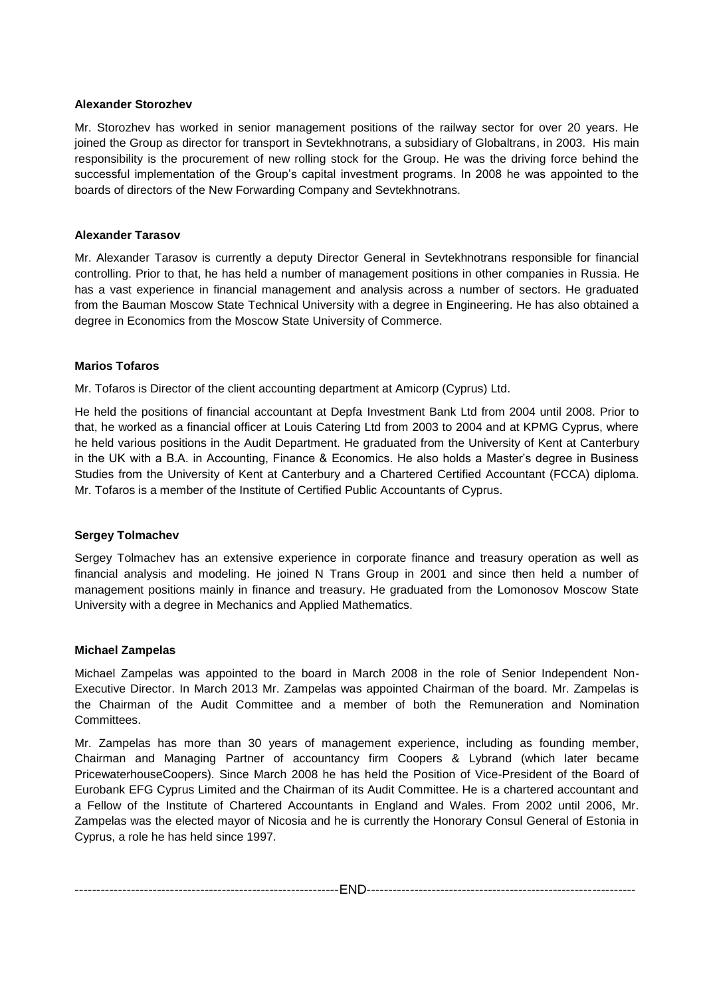# **Alexander Storozhev**

Mr. Storozhev has worked in senior management positions of the railway sector for over 20 years. He joined the Group as director for transport in Sevtekhnotrans, a subsidiary of Globaltrans, in 2003. His main responsibility is the procurement of new rolling stock for the Group. He was the driving force behind the successful implementation of the Group's capital investment programs. In 2008 he was appointed to the boards of directors of the New Forwarding Company and Sevtekhnotrans.

# **Alexander Tarasov**

Mr. Alexander Tarasov is currently a deputy Director General in Sevtekhnotrans responsible for financial controlling. Prior to that, he has held a number of management positions in other companies in Russia. He has a vast experience in financial management and analysis across a number of sectors. He graduated from the Bauman Moscow State Technical University with a degree in Engineering. He has also obtained a degree in Economics from the Moscow State University of Commerce.

# **Marios Tofaros**

Mr. Tofaros is Director of the client accounting department at Amicorp (Cyprus) Ltd.

He held the positions of financial accountant at Depfa Investment Bank Ltd from 2004 until 2008. Prior to that, he worked as a financial officer at Louis Catering Ltd from 2003 to 2004 and at KPMG Cyprus, where he held various positions in the Audit Department. He graduated from the University of Kent at Canterbury in the UK with a B.A. in Accounting, Finance & Economics. He also holds a Master's degree in Business Studies from the University of Kent at Canterbury and a Chartered Certified Accountant (FCCA) diploma. Mr. Tofaros is a member of the Institute of Certified Public Accountants of Cyprus.

#### **Sergey Tolmachev**

Sergey Tolmachev has an extensive experience in corporate finance and treasury operation as well as financial analysis and modeling. He joined N Trans Group in 2001 and since then held a number of management positions mainly in finance and treasury. He graduated from the Lomonosov Moscow State University with a degree in Mechanics and Applied Mathematics.

#### **Michael Zampelas**

Michael Zampelas was appointed to the board in March 2008 in the role of Senior Independent Non-Executive Director. In March 2013 Mr. Zampelas was appointed Chairman of the board. Mr. Zampelas is the Chairman of the Audit Committee and a member of both the Remuneration and Nomination **Committees** 

Mr. Zampelas has more than 30 years of management experience, including as founding member, Chairman and Managing Partner of accountancy firm Coopers & Lybrand (which later became PricewaterhouseCoopers). Since March 2008 he has held the Position of Vice-President of the Board of Eurobank EFG Cyprus Limited and the Chairman of its Audit Committee. He is a chartered accountant and a Fellow of the Institute of Chartered Accountants in England and Wales. From 2002 until 2006, Mr. Zampelas was the elected mayor of Nicosia and he is currently the Honorary Consul General of Estonia in Cyprus, a role he has held since 1997.

-------------------------------------------------------------END--------------------------------------------------------------